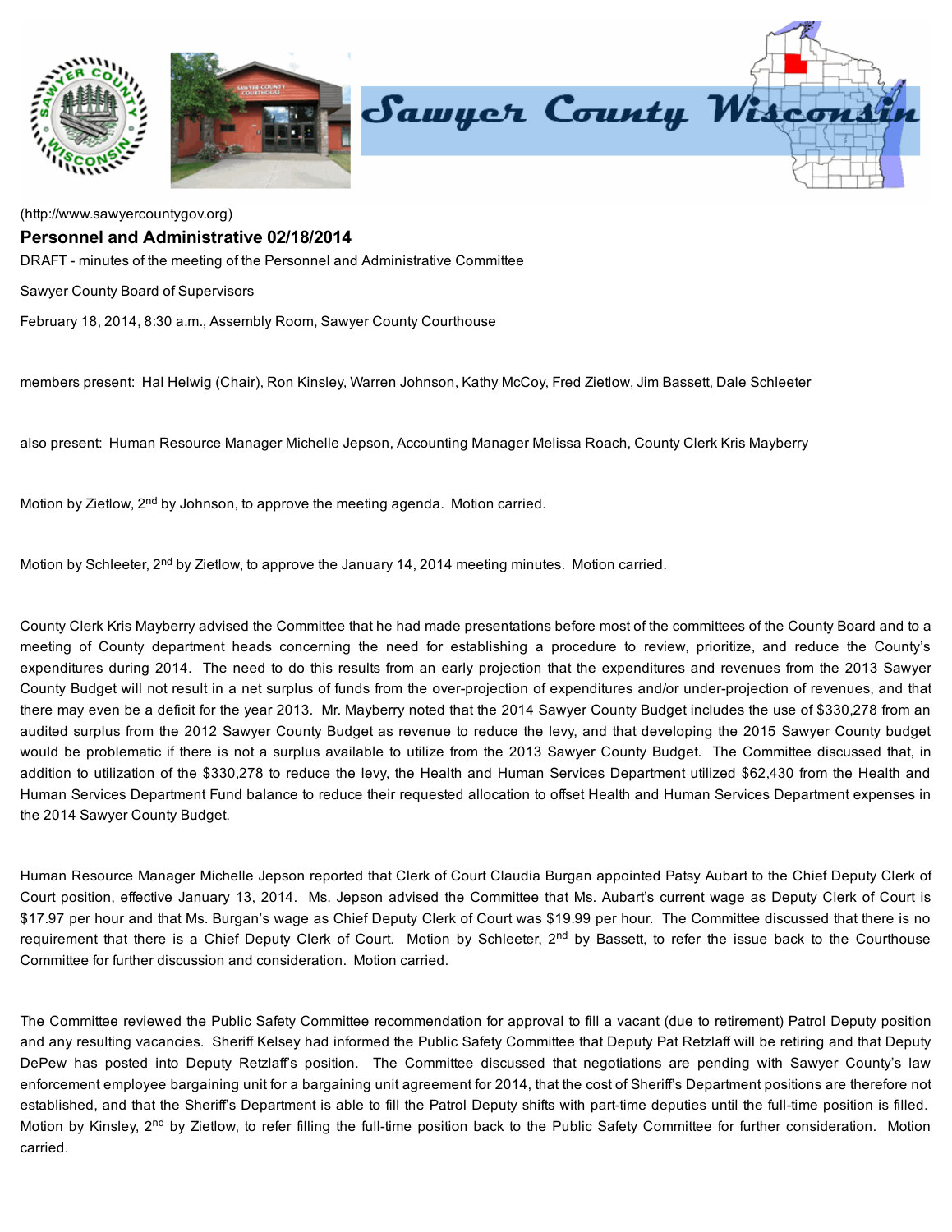

[\(http://www.sawyercountygov.org\)](http://www.sawyercountygov.org/)

## Personnel and Administrative 02/18/2014

DRAFT - minutes of the meeting of the Personnel and Administrative Committee

Sawyer County Board of Supervisors

February 18, 2014, 8:30 a.m., Assembly Room, Sawyer County Courthouse

members present: Hal Helwig (Chair), Ron Kinsley, Warren Johnson, Kathy McCoy, Fred Zietlow, Jim Bassett, Dale Schleeter

also present: Human Resource Manager Michelle Jepson, Accounting Manager Melissa Roach, County Clerk Kris Mayberry

Motion by Zietlow, 2<sup>nd</sup> by Johnson, to approve the meeting agenda. Motion carried.

Motion by Schleeter, 2<sup>nd</sup> by Zietlow, to approve the January 14, 2014 meeting minutes. Motion carried.

County Clerk Kris Mayberry advised the Committee that he had made presentations before most of the committees of the County Board and to a meeting of County department heads concerning the need for establishing a procedure to review, prioritize, and reduce the County's expenditures during 2014. The need to do this results from an early projection that the expenditures and revenues from the 2013 Sawyer County Budget will not result in a net surplus of funds from the over-projection of expenditures and/or under-projection of revenues, and that there may even be a deficit for the year 2013. Mr. Mayberry noted that the 2014 Sawyer County Budget includes the use of \$330,278 from an audited surplus from the 2012 Sawyer County Budget as revenue to reduce the levy, and that developing the 2015 Sawyer County budget would be problematic if there is not a surplus available to utilize from the 2013 Sawyer County Budget. The Committee discussed that, in addition to utilization of the \$330,278 to reduce the levy, the Health and Human Services Department utilized \$62,430 from the Health and Human Services Department Fund balance to reduce their requested allocation to offset Health and Human Services Department expenses in the 2014 Sawyer County Budget.

Human Resource Manager Michelle Jepson reported that Clerk of Court Claudia Burgan appointed Patsy Aubart to the Chief Deputy Clerk of Court position, effective January 13, 2014. Ms. Jepson advised the Committee that Ms. Aubart's current wage as Deputy Clerk of Court is \$17.97 per hour and that Ms. Burgan's wage as Chief Deputy Clerk of Court was \$19.99 per hour. The Committee discussed that there is no requirement that there is a Chief Deputy Clerk of Court. Motion by Schleeter, 2<sup>nd</sup> by Bassett, to refer the issue back to the Courthouse Committee for further discussion and consideration. Motion carried.

The Committee reviewed the Public Safety Committee recommendation for approval to fill a vacant (due to retirement) Patrol Deputy position and any resulting vacancies. Sheriff Kelsey had informed the Public Safety Committee that Deputy Pat Retzlaff will be retiring and that Deputy DePew has posted into Deputy Retzlaff's position. The Committee discussed that negotiations are pending with Sawyer County's law enforcement employee bargaining unit for a bargaining unit agreement for 2014, that the cost of Sheriff's Department positions are therefore not established, and that the Sheriff's Department is able to fill the Patrol Deputy shifts with part-time deputies until the full-time position is filled. Motion by Kinsley, 2<sup>nd</sup> by Zietlow, to refer filling the full-time position back to the Public Safety Committee for further consideration. Motion carried.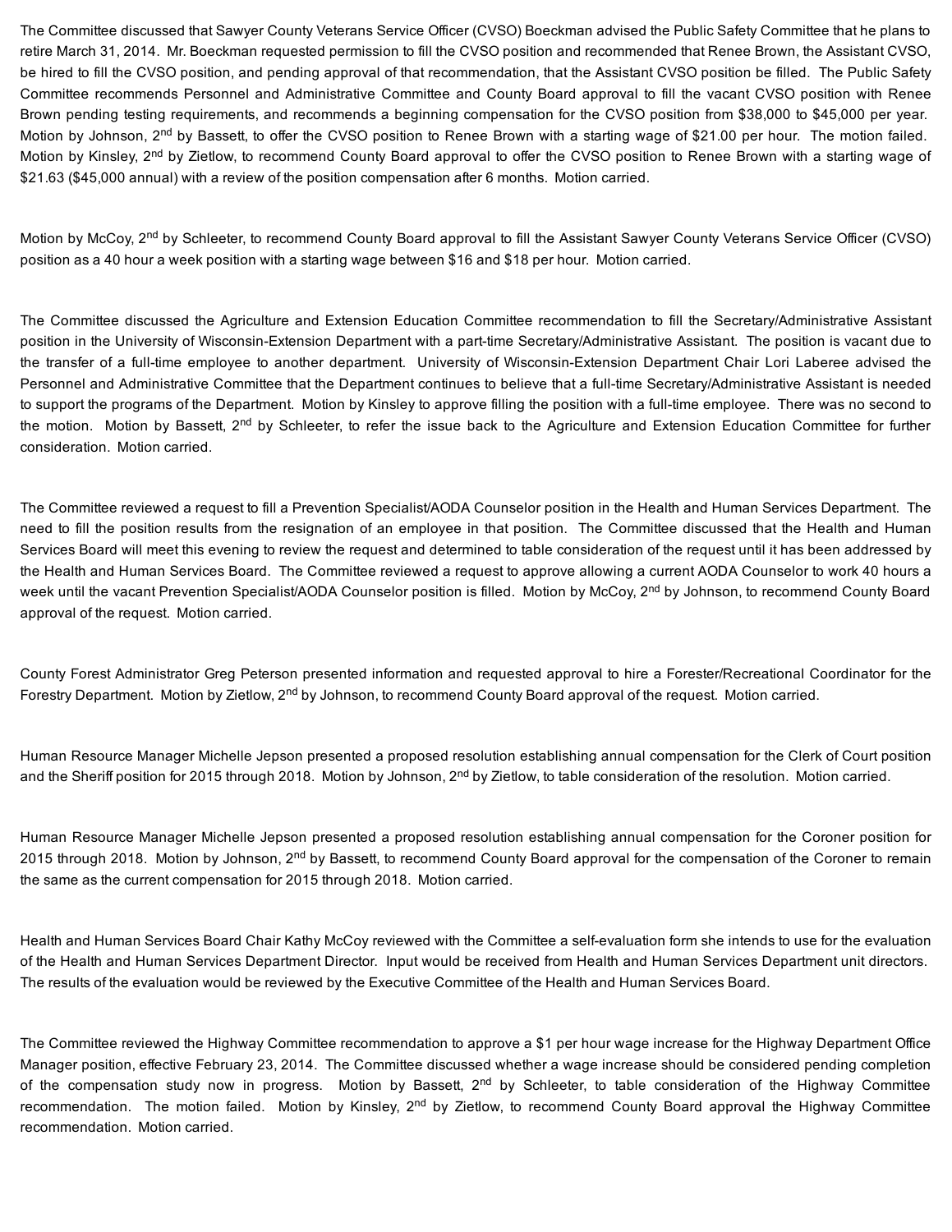The Committee discussed that Sawyer County Veterans Service Officer (CVSO) Boeckman advised the Public Safety Committee that he plans to retire March 31, 2014. Mr. Boeckman requested permission to fill the CVSO position and recommended that Renee Brown, the Assistant CVSO, be hired to fill the CVSO position, and pending approval of that recommendation, that the Assistant CVSO position be filled. The Public Safety Committee recommends Personnel and Administrative Committee and County Board approval to fill the vacant CVSO position with Renee Brown pending testing requirements, and recommends a beginning compensation for the CVSO position from \$38,000 to \$45,000 per year. Motion by Johnson, 2<sup>nd</sup> by Bassett, to offer the CVSO position to Renee Brown with a starting wage of \$21.00 per hour. The motion failed. Motion by Kinsley, 2<sup>nd</sup> by Zietlow, to recommend County Board approval to offer the CVSO position to Renee Brown with a starting wage of \$21.63 (\$45,000 annual) with a review of the position compensation after 6 months. Motion carried.

Motion by McCoy, 2<sup>nd</sup> by Schleeter, to recommend County Board approval to fill the Assistant Sawyer County Veterans Service Officer (CVSO) position as a 40 hour a week position with a starting wage between \$16 and \$18 per hour. Motion carried.

The Committee discussed the Agriculture and Extension Education Committee recommendation to fill the Secretary/Administrative Assistant position in the University of Wisconsin-Extension Department with a part-time Secretary/Administrative Assistant. The position is vacant due to the transfer of a full-time employee to another department. University of Wisconsin-Extension Department Chair Lori Laberee advised the Personnel and Administrative Committee that the Department continues to believe that a full-time Secretary/Administrative Assistant is needed to support the programs of the Department. Motion by Kinsley to approve filling the position with a full-time employee. There was no second to the motion. Motion by Bassett, 2<sup>nd</sup> by Schleeter, to refer the issue back to the Agriculture and Extension Education Committee for further consideration. Motion carried.

The Committee reviewed a request to fill a Prevention Specialist/AODA Counselor position in the Health and Human Services Department. The need to fill the position results from the resignation of an employee in that position. The Committee discussed that the Health and Human Services Board will meet this evening to review the request and determined to table consideration of the request until it has been addressed by the Health and Human Services Board. The Committee reviewed a request to approve allowing a current AODA Counselor to work 40 hours a week until the vacant Prevention Specialist/AODA Counselor position is filled. Motion by McCoy, 2<sup>nd</sup> by Johnson, to recommend County Board approval of the request. Motion carried.

County Forest Administrator Greg Peterson presented information and requested approval to hire a Forester/Recreational Coordinator for the Forestry Department. Motion by Zietlow, 2<sup>nd</sup> by Johnson, to recommend County Board approval of the request. Motion carried.

Human Resource Manager Michelle Jepson presented a proposed resolution establishing annual compensation for the Clerk of Court position and the Sheriff position for 2015 through 2018. Motion by Johnson, 2<sup>nd</sup> by Zietlow, to table consideration of the resolution. Motion carried.

Human Resource Manager Michelle Jepson presented a proposed resolution establishing annual compensation for the Coroner position for 2015 through 2018. Motion by Johnson, 2<sup>nd</sup> by Bassett, to recommend County Board approval for the compensation of the Coroner to remain the same as the current compensation for 2015 through 2018. Motion carried.

Health and Human Services Board Chair Kathy McCoy reviewed with the Committee a selfevaluation form she intends to use for the evaluation of the Health and Human Services Department Director. Input would be received from Health and Human Services Department unit directors. The results of the evaluation would be reviewed by the Executive Committee of the Health and Human Services Board.

The Committee reviewed the Highway Committee recommendation to approve a \$1 per hour wage increase for the Highway Department Office Manager position, effective February 23, 2014. The Committee discussed whether a wage increase should be considered pending completion of the compensation study now in progress. Motion by Bassett, 2<sup>nd</sup> by Schleeter, to table consideration of the Highway Committee recommendation. The motion failed. Motion by Kinsley, 2<sup>nd</sup> by Zietlow, to recommend County Board approval the Highway Committee recommendation. Motion carried.